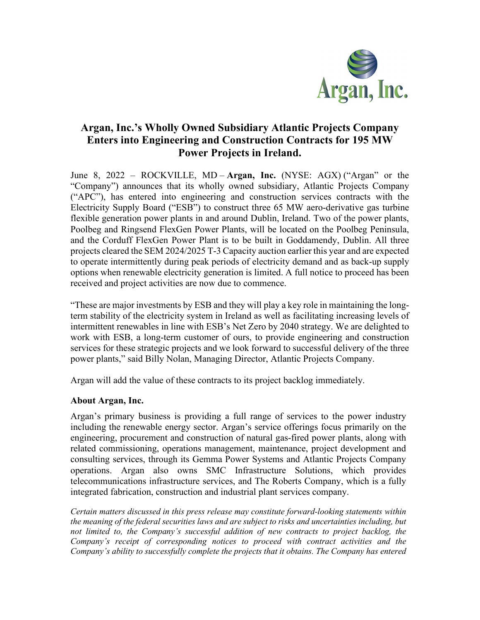

## **Argan, Inc.'s Wholly Owned Subsidiary Atlantic Projects Company Enters into Engineering and Construction Contracts for 195 MW Power Projects in Ireland.**

June 8, 2022 – ROCKVILLE, MD – **Argan, Inc.** (NYSE: AGX) ("Argan" or the "Company") announces that its wholly owned subsidiary, Atlantic Projects Company ("APC"), has entered into engineering and construction services contracts with the Electricity Supply Board ("ESB") to construct three 65 MW aero-derivative gas turbine flexible generation power plants in and around Dublin, Ireland. Two of the power plants, Poolbeg and Ringsend FlexGen Power Plants, will be located on the Poolbeg Peninsula, and the Corduff FlexGen Power Plant is to be built in Goddamendy, Dublin. All three projects cleared the SEM 2024/2025 T-3 Capacity auction earlier this year and are expected to operate intermittently during peak periods of electricity demand and as back-up supply options when renewable electricity generation is limited. A full notice to proceed has been received and project activities are now due to commence.

"These are major investments by ESB and they will play a key role in maintaining the longterm stability of the electricity system in Ireland as well as facilitating increasing levels of intermittent renewables in line with ESB's Net Zero by 2040 strategy. We are delighted to work with ESB, a long-term customer of ours, to provide engineering and construction services for these strategic projects and we look forward to successful delivery of the three power plants," said Billy Nolan, Managing Director, Atlantic Projects Company.

Argan will add the value of these contracts to its project backlog immediately.

## **About Argan, Inc.**

Argan's primary business is providing a full range of services to the power industry including the renewable energy sector. Argan's service offerings focus primarily on the engineering, procurement and construction of natural gas-fired power plants, along with related commissioning, operations management, maintenance, project development and consulting services, through its Gemma Power Systems and Atlantic Projects Company operations. Argan also owns SMC Infrastructure Solutions, which provides telecommunications infrastructure services, and The Roberts Company, which is a fully integrated fabrication, construction and industrial plant services company.

*Certain matters discussed in this press release may constitute forward-looking statements within the meaning of the federal securities laws and are subject to risks and uncertainties including, but not limited to, the Company's successful addition of new contracts to project backlog, the Company's receipt of corresponding notices to proceed with contract activities and the Company's ability to successfully complete the projects that it obtains. The Company has entered*